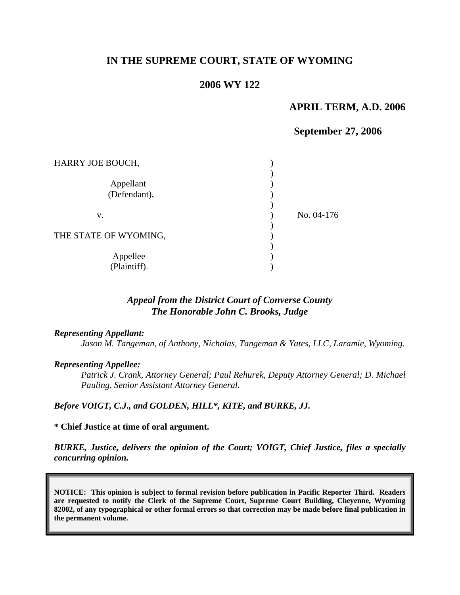# **IN THE SUPREME COURT, STATE OF WYOMING**

## **2006 WY 122**

## **APRIL TERM, A.D. 2006**

### **September 27, 2006**

| HARRY JOE BOUCH,          |            |
|---------------------------|------------|
| Appellant<br>(Defendant), |            |
| v.                        | No. 04-176 |
| THE STATE OF WYOMING,     |            |
| Appellee<br>(Plaintiff).  |            |

## *Appeal from the District Court of Converse County The Honorable John C. Brooks, Judge*

#### *Representing Appellant:*

*Jason M. Tangeman, of Anthony, Nicholas, Tangeman & Yates, LLC, Laramie, Wyoming.* 

#### *Representing Appellee:*

*Patrick J. Crank, Attorney General; Paul Rehurek, Deputy Attorney General; D. Michael Pauling, Senior Assistant Attorney General.* 

*Before VOIGT, C.J., and GOLDEN, HILL\*, KITE, and BURKE, JJ.* 

#### **\* Chief Justice at time of oral argument.**

*BURKE, Justice, delivers the opinion of the Court; VOIGT, Chief Justice, files a specially concurring opinion.* 

**NOTICE: This opinion is subject to formal revision before publication in Pacific Reporter Third. Readers are requested to notify the Clerk of the Supreme Court, Supreme Court Building, Cheyenne, Wyoming 82002, of any typographical or other formal errors so that correction may be made before final publication in the permanent volume.**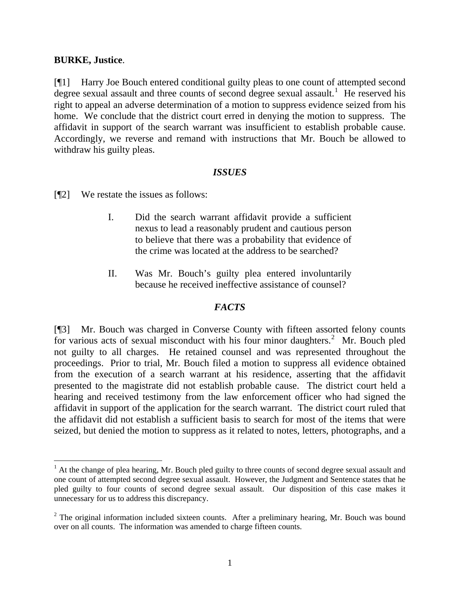## **BURKE, Justice**.

 $\overline{a}$ 

[¶1] Harry Joe Bouch entered conditional guilty pleas to one count of attempted second degree sexual assault and three counts of second degree sexual assault.<sup>[1](#page-1-0)</sup> He reserved his right to appeal an adverse determination of a motion to suppress evidence seized from his home. We conclude that the district court erred in denying the motion to suppress. The affidavit in support of the search warrant was insufficient to establish probable cause. Accordingly, we reverse and remand with instructions that Mr. Bouch be allowed to withdraw his guilty pleas.

## *ISSUES*

[¶2] We restate the issues as follows:

- I. Did the search warrant affidavit provide a sufficient nexus to lead a reasonably prudent and cautious person to believe that there was a probability that evidence of the crime was located at the address to be searched?
- II. Was Mr. Bouch's guilty plea entered involuntarily because he received ineffective assistance of counsel?

## *FACTS*

[¶3] Mr. Bouch was charged in Converse County with fifteen assorted felony counts for various acts of sexual misconduct with his four minor daughters.<sup>[2](#page-1-1)</sup> Mr. Bouch pled not guilty to all charges. He retained counsel and was represented throughout the proceedings. Prior to trial, Mr. Bouch filed a motion to suppress all evidence obtained from the execution of a search warrant at his residence, asserting that the affidavit presented to the magistrate did not establish probable cause. The district court held a hearing and received testimony from the law enforcement officer who had signed the affidavit in support of the application for the search warrant. The district court ruled that the affidavit did not establish a sufficient basis to search for most of the items that were seized, but denied the motion to suppress as it related to notes, letters, photographs, and a

<span id="page-1-0"></span> $<sup>1</sup>$  At the change of plea hearing, Mr. Bouch pled guilty to three counts of second degree sexual assault and</sup> one count of attempted second degree sexual assault. However, the Judgment and Sentence states that he pled guilty to four counts of second degree sexual assault. Our disposition of this case makes it unnecessary for us to address this discrepancy.

<span id="page-1-1"></span> $2$  The original information included sixteen counts. After a preliminary hearing, Mr. Bouch was bound over on all counts. The information was amended to charge fifteen counts.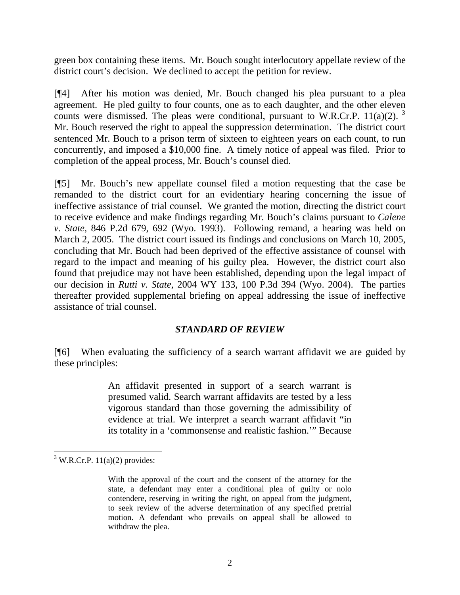green box containing these items. Mr. Bouch sought interlocutory appellate review of the district court's decision. We declined to accept the petition for review.

[¶4] After his motion was denied, Mr. Bouch changed his plea pursuant to a plea agreement. He pled guilty to four counts, one as to each daughter, and the other eleven counts were dismissed. The pleas were conditional, pursuant to W.R.Cr.P. 11(a)(2).  $3$ Mr. Bouch reserved the right to appeal the suppression determination. The district court sentenced Mr. Bouch to a prison term of sixteen to eighteen years on each count, to run concurrently, and imposed a \$10,000 fine. A timely notice of appeal was filed. Prior to completion of the appeal process, Mr. Bouch's counsel died.

[¶5] Mr. Bouch's new appellate counsel filed a motion requesting that the case be remanded to the district court for an evidentiary hearing concerning the issue of ineffective assistance of trial counsel. We granted the motion, directing the district court to receive evidence and make findings regarding Mr. Bouch's claims pursuant to *Calene v. State*, 846 P.2d 679, 692 (Wyo. 1993). Following remand, a hearing was held on March 2, 2005. The district court issued its findings and conclusions on March 10, 2005, concluding that Mr. Bouch had been deprived of the effective assistance of counsel with regard to the impact and meaning of his guilty plea. However, the district court also found that prejudice may not have been established, depending upon the legal impact of our decision in *Rutti v. State*, 2004 WY 133, 100 P.3d 394 (Wyo. 2004). The parties thereafter provided supplemental briefing on appeal addressing the issue of ineffective assistance of trial counsel.

## *STANDARD OF REVIEW*

[¶6] When evaluating the sufficiency of a search warrant affidavit we are guided by these principles:

> An affidavit presented in support of a search warrant is presumed valid. Search warrant affidavits are tested by a less vigorous standard than those governing the admissibility of evidence at trial. We interpret a search warrant affidavit "in its totality in a 'commonsense and realistic fashion.'" Because

 $\overline{a}$ 

<span id="page-2-0"></span> $3$  W.R.Cr.P. 11(a)(2) provides:

With the approval of the court and the consent of the attorney for the state, a defendant may enter a conditional plea of guilty or nolo contendere, reserving in writing the right, on appeal from the judgment, to seek review of the adverse determination of any specified pretrial motion. A defendant who prevails on appeal shall be allowed to withdraw the plea.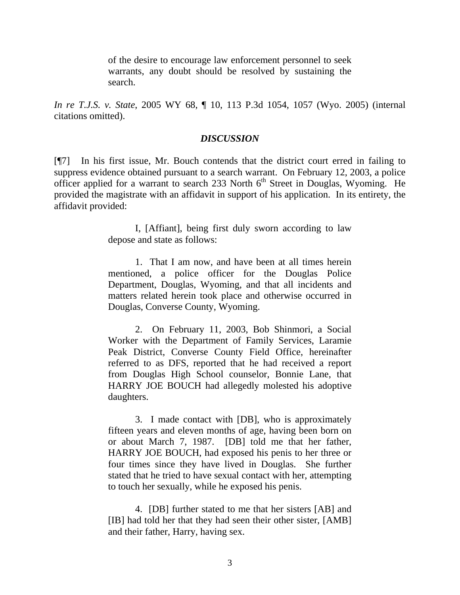of the desire to encourage law enforcement personnel to seek warrants, any doubt should be resolved by sustaining the search.

*In re T.J.S. v. State*, 2005 WY 68, ¶ 10, 113 P.3d 1054, 1057 (Wyo. 2005) (internal citations omitted).

## *DISCUSSION*

[¶7] In his first issue, Mr. Bouch contends that the district court erred in failing to suppress evidence obtained pursuant to a search warrant. On February 12, 2003, a police officer applied for a warrant to search 233 North  $6<sup>th</sup>$  Street in Douglas, Wyoming. He provided the magistrate with an affidavit in support of his application. In its entirety, the affidavit provided:

> I, [Affiant], being first duly sworn according to law depose and state as follows:

> 1. That I am now, and have been at all times herein mentioned, a police officer for the Douglas Police Department, Douglas, Wyoming, and that all incidents and matters related herein took place and otherwise occurred in Douglas, Converse County, Wyoming.

> 2. On February 11, 2003, Bob Shinmori, a Social Worker with the Department of Family Services, Laramie Peak District, Converse County Field Office, hereinafter referred to as DFS, reported that he had received a report from Douglas High School counselor, Bonnie Lane, that HARRY JOE BOUCH had allegedly molested his adoptive daughters.

> 3. I made contact with [DB], who is approximately fifteen years and eleven months of age, having been born on or about March 7, 1987. [DB] told me that her father, HARRY JOE BOUCH, had exposed his penis to her three or four times since they have lived in Douglas. She further stated that he tried to have sexual contact with her, attempting to touch her sexually, while he exposed his penis.

> 4. [DB] further stated to me that her sisters [AB] and [IB] had told her that they had seen their other sister, [AMB] and their father, Harry, having sex.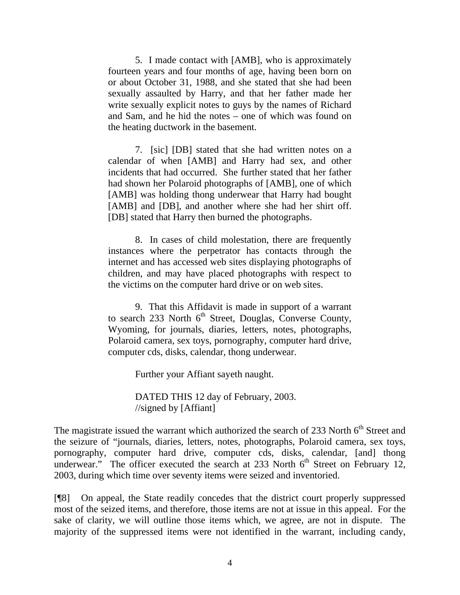5. I made contact with [AMB], who is approximately fourteen years and four months of age, having been born on or about October 31, 1988, and she stated that she had been sexually assaulted by Harry, and that her father made her write sexually explicit notes to guys by the names of Richard and Sam, and he hid the notes – one of which was found on the heating ductwork in the basement.

7. [sic] [DB] stated that she had written notes on a calendar of when [AMB] and Harry had sex, and other incidents that had occurred. She further stated that her father had shown her Polaroid photographs of [AMB], one of which [AMB] was holding thong underwear that Harry had bought [AMB] and [DB], and another where she had her shirt off. [DB] stated that Harry then burned the photographs.

8. In cases of child molestation, there are frequently instances where the perpetrator has contacts through the internet and has accessed web sites displaying photographs of children, and may have placed photographs with respect to the victims on the computer hard drive or on web sites.

9. That this Affidavit is made in support of a warrant to search 233 North  $6<sup>th</sup>$  Street, Douglas, Converse County, Wyoming, for journals, diaries, letters, notes, photographs, Polaroid camera, sex toys, pornography, computer hard drive, computer cds, disks, calendar, thong underwear.

Further your Affiant sayeth naught.

DATED THIS 12 day of February, 2003. //signed by [Affiant]

The magistrate issued the warrant which authorized the search of 233 North  $6<sup>th</sup>$  Street and the seizure of "journals, diaries, letters, notes, photographs, Polaroid camera, sex toys, pornography, computer hard drive, computer cds, disks, calendar, [and] thong underwear." The officer executed the search at 233 North  $6<sup>th</sup>$  Street on February 12, 2003, during which time over seventy items were seized and inventoried.

[¶8] On appeal, the State readily concedes that the district court properly suppressed most of the seized items, and therefore, those items are not at issue in this appeal. For the sake of clarity, we will outline those items which, we agree, are not in dispute. The majority of the suppressed items were not identified in the warrant, including candy,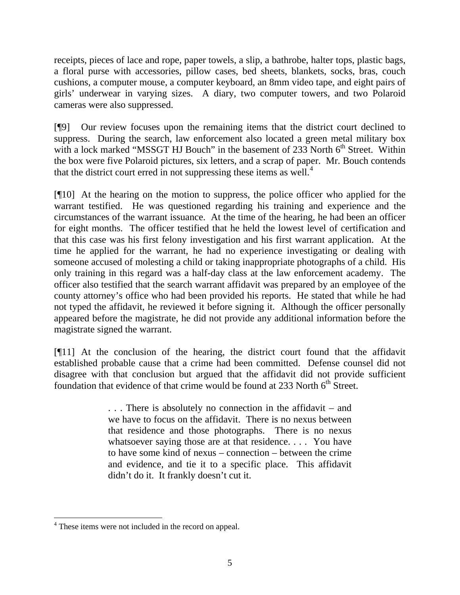receipts, pieces of lace and rope, paper towels, a slip, a bathrobe, halter tops, plastic bags, a floral purse with accessories, pillow cases, bed sheets, blankets, socks, bras, couch cushions, a computer mouse, a computer keyboard, an 8mm video tape, and eight pairs of girls' underwear in varying sizes. A diary, two computer towers, and two Polaroid cameras were also suppressed.

[¶9] Our review focuses upon the remaining items that the district court declined to suppress. During the search, law enforcement also located a green metal military box with a lock marked "MSSGT HJ Bouch" in the basement of  $233$  North  $6<sup>th</sup>$  Street. Within the box were five Polaroid pictures, six letters, and a scrap of paper. Mr. Bouch contends that the district court erred in not suppressing these items as well. $4$ 

[¶10] At the hearing on the motion to suppress, the police officer who applied for the warrant testified. He was questioned regarding his training and experience and the circumstances of the warrant issuance. At the time of the hearing, he had been an officer for eight months. The officer testified that he held the lowest level of certification and that this case was his first felony investigation and his first warrant application. At the time he applied for the warrant, he had no experience investigating or dealing with someone accused of molesting a child or taking inappropriate photographs of a child. His only training in this regard was a half-day class at the law enforcement academy. The officer also testified that the search warrant affidavit was prepared by an employee of the county attorney's office who had been provided his reports. He stated that while he had not typed the affidavit, he reviewed it before signing it. Although the officer personally appeared before the magistrate, he did not provide any additional information before the magistrate signed the warrant.

[¶11] At the conclusion of the hearing, the district court found that the affidavit established probable cause that a crime had been committed. Defense counsel did not disagree with that conclusion but argued that the affidavit did not provide sufficient foundation that evidence of that crime would be found at 233 North  $6<sup>th</sup>$  Street.

> . . . There is absolutely no connection in the affidavit – and we have to focus on the affidavit. There is no nexus between that residence and those photographs. There is no nexus whatsoever saying those are at that residence.... You have to have some kind of nexus – connection – between the crime and evidence, and tie it to a specific place. This affidavit didn't do it. It frankly doesn't cut it.

<span id="page-5-0"></span> $\overline{a}$ <sup>4</sup> These items were not included in the record on appeal.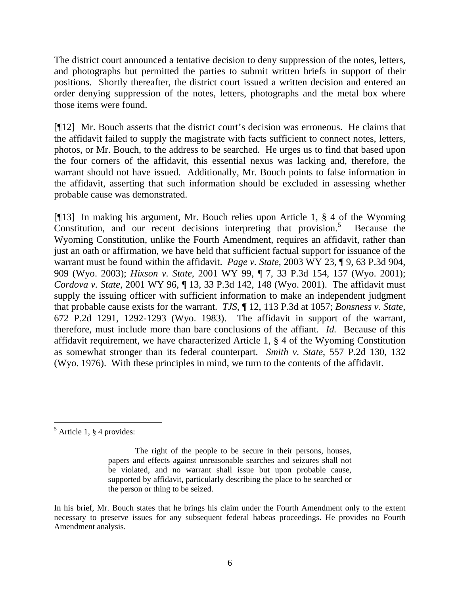The district court announced a tentative decision to deny suppression of the notes, letters, and photographs but permitted the parties to submit written briefs in support of their positions. Shortly thereafter, the district court issued a written decision and entered an order denying suppression of the notes, letters, photographs and the metal box where those items were found.

[¶12] Mr. Bouch asserts that the district court's decision was erroneous. He claims that the affidavit failed to supply the magistrate with facts sufficient to connect notes, letters, photos, or Mr. Bouch, to the address to be searched. He urges us to find that based upon the four corners of the affidavit, this essential nexus was lacking and, therefore, the warrant should not have issued. Additionally, Mr. Bouch points to false information in the affidavit, asserting that such information should be excluded in assessing whether probable cause was demonstrated.

[¶13] In making his argument, Mr. Bouch relies upon Article 1, § 4 of the Wyoming Constitution, and our recent decisions interpreting that provision.<sup>[5](#page-6-0)</sup> Because the Wyoming Constitution, unlike the Fourth Amendment, requires an affidavit, rather than just an oath or affirmation, we have held that sufficient factual support for issuance of the warrant must be found within the affidavit. *Page v. State*, 2003 WY 23, ¶ 9, 63 P.3d 904, 909 (Wyo. 2003); *Hixson v. State*, 2001 WY 99, ¶ 7, 33 P.3d 154, 157 (Wyo. 2001); *Cordova v. State,* 2001 WY 96, ¶ 13, 33 P.3d 142, 148 (Wyo. 2001). The affidavit must supply the issuing officer with sufficient information to make an independent judgment that probable cause exists for the warrant. *TJS*, ¶ 12, 113 P.3d at 1057; *Bonsness v. State*, 672 P.2d 1291, 1292-1293 (Wyo. 1983). The affidavit in support of the warrant, therefore, must include more than bare conclusions of the affiant. *Id.* Because of this affidavit requirement, we have characterized Article 1, § 4 of the Wyoming Constitution as somewhat stronger than its federal counterpart. *Smith v. State*, 557 P.2d 130, 132 (Wyo. 1976). With these principles in mind, we turn to the contents of the affidavit.

<span id="page-6-0"></span> 5 Article 1, § 4 provides:

The right of the people to be secure in their persons, houses, papers and effects against unreasonable searches and seizures shall not be violated, and no warrant shall issue but upon probable cause, supported by affidavit, particularly describing the place to be searched or the person or thing to be seized.

In his brief, Mr. Bouch states that he brings his claim under the Fourth Amendment only to the extent necessary to preserve issues for any subsequent federal habeas proceedings. He provides no Fourth Amendment analysis.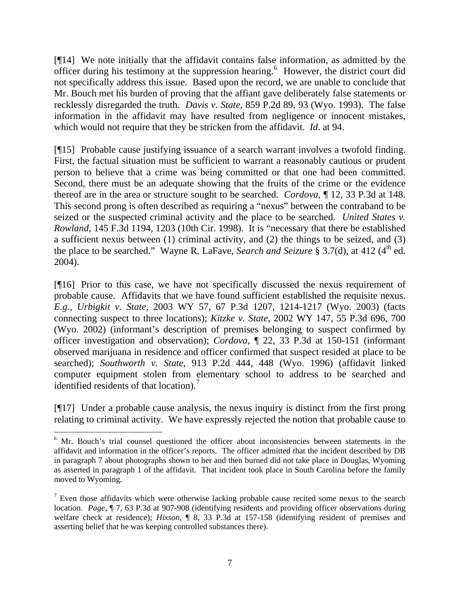[¶14] We note initially that the affidavit contains false information, as admitted by the officer during his testimony at the suppression hearing.<sup>[6](#page-7-0)</sup> However, the district court did not specifically address this issue. Based upon the record, we are unable to conclude that Mr. Bouch met his burden of proving that the affiant gave deliberately false statements or recklessly disregarded the truth. *Davis v. State*, 859 P.2d 89, 93 (Wyo. 1993). The false information in the affidavit may have resulted from negligence or innocent mistakes, which would not require that they be stricken from the affidavit. *Id*. at 94.

[¶15] Probable cause justifying issuance of a search warrant involves a twofold finding. First, the factual situation must be sufficient to warrant a reasonably cautious or prudent person to believe that a crime was being committed or that one had been committed. Second, there must be an adequate showing that the fruits of the crime or the evidence thereof are in the area or structure sought to be searched. *Cordova*, ¶ 12, 33 P.3d at 148. This second prong is often described as requiring a "nexus" between the contraband to be seized or the suspected criminal activity and the place to be searched. *United States v. Rowland*, 145 F.3d 1194, 1203 (10th Cir. 1998). It is "necessary that there be established a sufficient nexus between (1) criminal activity, and (2) the things to be seized, and (3) the place to be searched." Wayne R. LaFave, *Search and Seizure* § 3.7(d), at 412 (4<sup>th</sup> ed. 2004).

[¶16] Prior to this case, we have not specifically discussed the nexus requirement of probable cause. Affidavits that we have found sufficient established the requisite nexus. *E.g., Urbigkit v. State*, 2003 WY 57, 67 P.3d 1207, 1214-1217 (Wyo. 2003) (facts connecting suspect to three locations); *Kitzke v. State*, 2002 WY 147, 55 P.3d 696, 700 (Wyo. 2002) (informant's description of premises belonging to suspect confirmed by officer investigation and observation); *Cordova*, ¶ 22, 33 P.3d at 150-151 (informant observed marijuana in residence and officer confirmed that suspect resided at place to be searched); *Southworth v. State*, 913 P.2d 444, 448 (Wyo. 1996) (affidavit linked computer equipment stolen from elementary school to address to be searched and identified residents of that location).<sup>[7](#page-7-1)</sup>

[¶17] Under a probable cause analysis, the nexus inquiry is distinct from the first prong relating to criminal activity. We have expressly rejected the notion that probable cause to

 $\overline{a}$ 

<span id="page-7-0"></span><sup>&</sup>lt;sup>6</sup> Mr. Bouch's trial counsel questioned the officer about inconsistencies between statements in the affidavit and information in the officer's reports. The officer admitted that the incident described by DB in paragraph 7 about photographs shown to her and then burned did not take place in Douglas, Wyoming as asserted in paragraph 1 of the affidavit. That incident took place in South Carolina before the family moved to Wyoming.

<span id="page-7-1"></span> $<sup>7</sup>$  Even those affidavits which were otherwise lacking probable cause recited some nexus to the search</sup> location. *Page*, ¶ 7, 63 P.3d at 907-908 (identifying residents and providing officer observations during welfare check at residence); *Hixson*, ¶ 8, 33 P.3d at 157-158 (identifying resident of premises and asserting belief that he was keeping controlled substances there).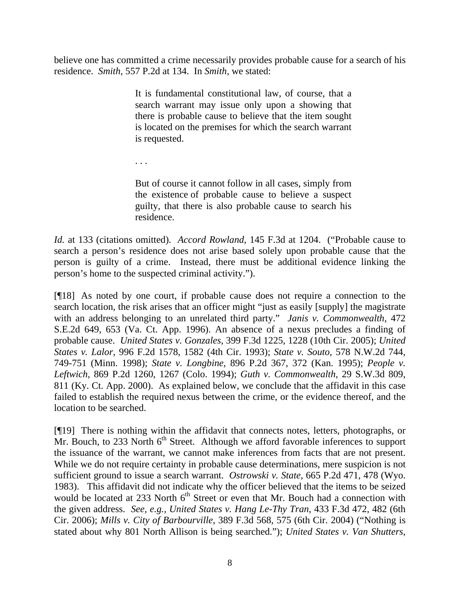believe one has committed a crime necessarily provides probable cause for a search of his residence. *Smith*, 557 P.2d at 134. In *Smith*, we stated:

> It is fundamental constitutional law, of course, that a search warrant may issue only upon a showing that there is probable cause to believe that the item sought is located on the premises for which the search warrant is requested.

. . .

But of course it cannot follow in all cases, simply from the existence of probable cause to believe a suspect guilty, that there is also probable cause to search his residence.

*Id.* at 133 (citations omitted). *Accord Rowland*, 145 F.3d at 1204. ("Probable cause to search a person's residence does not arise based solely upon probable cause that the person is guilty of a crime. Instead, there must be additional evidence linking the person's home to the suspected criminal activity.").

[¶18] As noted by one court, if probable cause does not require a connection to the search location, the risk arises that an officer might "just as easily [supply] the magistrate with an address belonging to an unrelated third party." *Janis v. Commonwealth*, 472 S.E.2d 649, 653 (Va. Ct. App. 1996). An absence of a nexus precludes a finding of probable cause. *United States v. Gonzales*, 399 F.3d 1225, 1228 (10th Cir. 2005); *United States v. Lalor*, 996 F.2d 1578, 1582 (4th Cir. 1993); *State v. Souto*, 578 N.W.2d 744, 749-751 (Minn. 1998); *State v. Longbine*, 896 P.2d 367, 372 (Kan. 1995); *People v. Leftwich*, 869 P.2d 1260, 1267 (Colo. 1994); *Guth v. Commonwealth*, 29 S.W.3d 809, 811 (Ky. Ct. App. 2000). As explained below, we conclude that the affidavit in this case failed to establish the required nexus between the crime, or the evidence thereof, and the location to be searched.

[¶19] There is nothing within the affidavit that connects notes, letters, photographs, or Mr. Bouch, to 233 North  $6<sup>th</sup>$  Street. Although we afford favorable inferences to support the issuance of the warrant, we cannot make inferences from facts that are not present. While we do not require certainty in probable cause determinations, mere suspicion is not sufficient ground to issue a search warrant. *Ostrowski v. State*, 665 P.2d 471, 478 (Wyo. 1983). This affidavit did not indicate why the officer believed that the items to be seized would be located at 233 North  $6<sup>th</sup>$  Street or even that Mr. Bouch had a connection with the given address. *See, e.g., United States v. Hang Le-Thy Tran*, 433 F.3d 472, 482 (6th Cir. 2006); *Mills v. City of Barbourville*, 389 F.3d 568, 575 (6th Cir. 2004) ("Nothing is stated about why 801 North Allison is being searched."); *United States v. Van Shutters*,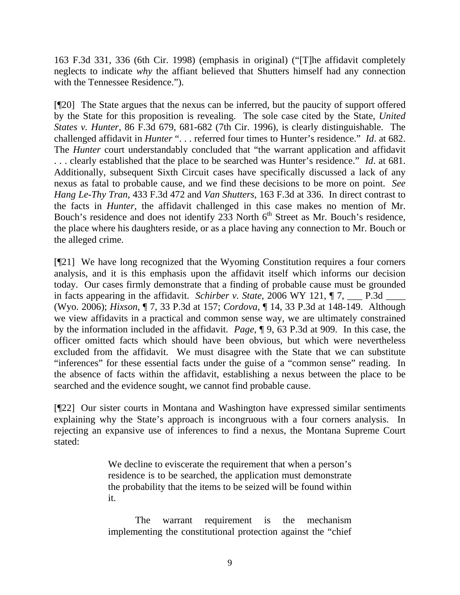163 F.3d 331, 336 (6th Cir. 1998) (emphasis in original) ("[T]he affidavit completely neglects to indicate *why* the affiant believed that Shutters himself had any connection with the Tennessee Residence.").

[¶20] The State argues that the nexus can be inferred, but the paucity of support offered by the State for this proposition is revealing. The sole case cited by the State, *United States v. Hunter*, 86 F.3d 679, 681-682 (7th Cir. 1996), is clearly distinguishable. The challenged affidavit in *Hunter* ". . . referred four times to Hunter's residence." *Id*. at 682. The *Hunter* court understandably concluded that "the warrant application and affidavit . . . clearly established that the place to be searched was Hunter's residence." *Id*. at 681. Additionally, subsequent Sixth Circuit cases have specifically discussed a lack of any nexus as fatal to probable cause, and we find these decisions to be more on point. *See Hang Le-Thy Tran*, 433 F.3d 472 and *Van Shutters*, 163 F.3d at 336. In direct contrast to the facts in *Hunter*, the affidavit challenged in this case makes no mention of Mr. Bouch's residence and does not identify 233 North  $6<sup>th</sup>$  Street as Mr. Bouch's residence, the place where his daughters reside, or as a place having any connection to Mr. Bouch or the alleged crime.

[¶21] We have long recognized that the Wyoming Constitution requires a four corners analysis, and it is this emphasis upon the affidavit itself which informs our decision today. Our cases firmly demonstrate that a finding of probable cause must be grounded in facts appearing in the affidavit. *Schirber v. State*, 2006 WY 121,  $\P$ 7, \_\_\_ P.3d \_\_\_\_\_ (Wyo. 2006); *Hixson*, ¶ 7, 33 P.3d at 157; *Cordova*, ¶ 14, 33 P.3d at 148-149. Although we view affidavits in a practical and common sense way, we are ultimately constrained by the information included in the affidavit. *Page,* ¶ 9, 63 P.3d at 909. In this case, the officer omitted facts which should have been obvious, but which were nevertheless excluded from the affidavit. We must disagree with the State that we can substitute "inferences" for these essential facts under the guise of a "common sense" reading. In the absence of facts within the affidavit, establishing a nexus between the place to be searched and the evidence sought, we cannot find probable cause.

[¶22] Our sister courts in Montana and Washington have expressed similar sentiments explaining why the State's approach is incongruous with a four corners analysis. In rejecting an expansive use of inferences to find a nexus, the Montana Supreme Court stated:

> We decline to eviscerate the requirement that when a person's residence is to be searched, the application must demonstrate the probability that the items to be seized will be found within it.

> The warrant requirement is the mechanism implementing the constitutional protection against the "chief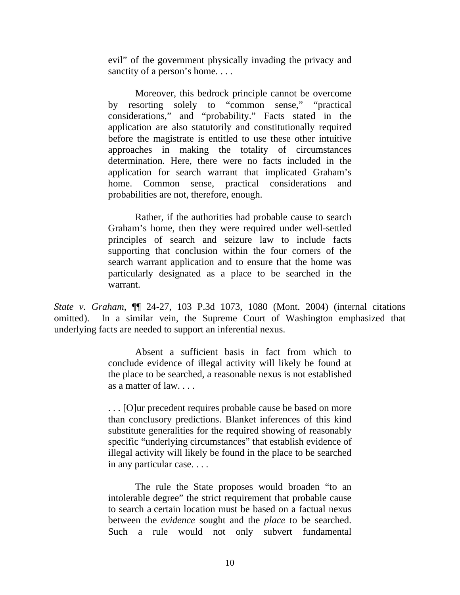evil" of the government physically invading the privacy and sanctity of a person's home....

Moreover, this bedrock principle cannot be overcome by resorting solely to "common sense," "practical considerations," and "probability." Facts stated in the application are also statutorily and constitutionally required before the magistrate is entitled to use these other intuitive approaches in making the totality of circumstances determination. Here, there were no facts included in the application for search warrant that implicated Graham's home. Common sense, practical considerations and probabilities are not, therefore, enough.

Rather, if the authorities had probable cause to search Graham's home, then they were required under well-settled principles of search and seizure law to include facts supporting that conclusion within the four corners of the search warrant application and to ensure that the home was particularly designated as a place to be searched in the warrant.

*State v. Graham*, ¶¶ 24-27, 103 P.3d 1073, 1080 (Mont. 2004) (internal citations omitted). In a similar vein, the Supreme Court of Washington emphasized that underlying facts are needed to support an inferential nexus.

> Absent a sufficient basis in fact from which to conclude evidence of illegal activity will likely be found at the place to be searched, a reasonable nexus is not established as a matter of law. . . .

> . . . [O]ur precedent requires probable cause be based on more than conclusory predictions. Blanket inferences of this kind substitute generalities for the required showing of reasonably specific "underlying circumstances" that establish evidence of illegal activity will likely be found in the place to be searched in any particular case. . . .

> The rule the State proposes would broaden "to an intolerable degree" the strict requirement that probable cause to search a certain location must be based on a factual nexus between the *evidence* sought and the *place* to be searched. Such a rule would not only subvert fundamental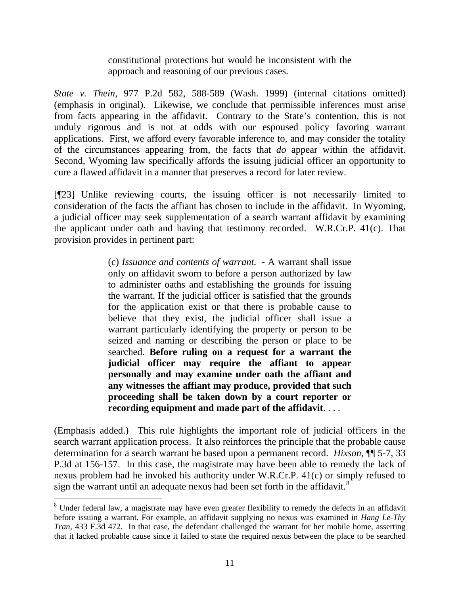constitutional protections but would be inconsistent with the approach and reasoning of our previous cases.

*State v. Thein*, 977 P.2d 582, 588-589 (Wash. 1999) (internal citations omitted) (emphasis in original). Likewise, we conclude that permissible inferences must arise from facts appearing in the affidavit. Contrary to the State's contention, this is not unduly rigorous and is not at odds with our espoused policy favoring warrant applications. First, we afford every favorable inference to, and may consider the totality of the circumstances appearing from, the facts that *do* appear within the affidavit. Second, Wyoming law specifically affords the issuing judicial officer an opportunity to cure a flawed affidavit in a manner that preserves a record for later review.

[¶23] Unlike reviewing courts, the issuing officer is not necessarily limited to consideration of the facts the affiant has chosen to include in the affidavit. In Wyoming, a judicial officer may seek supplementation of a search warrant affidavit by examining the applicant under oath and having that testimony recorded. W.R.Cr.P. 41(c). That provision provides in pertinent part:

> (c) *Issuance and contents of warrant.* - A warrant shall issue only on affidavit sworn to before a person authorized by law to administer oaths and establishing the grounds for issuing the warrant. If the judicial officer is satisfied that the grounds for the application exist or that there is probable cause to believe that they exist, the judicial officer shall issue a warrant particularly identifying the property or person to be seized and naming or describing the person or place to be searched. **Before ruling on a request for a warrant the judicial officer may require the affiant to appear personally and may examine under oath the affiant and any witnesses the affiant may produce, provided that such proceeding shall be taken down by a court reporter or recording equipment and made part of the affidavit**. . . .

(Emphasis added.) This rule highlights the important role of judicial officers in the search warrant application process. It also reinforces the principle that the probable cause determination for a search warrant be based upon a permanent record. *Hixson*, ¶¶ 5-7, 33 P.3d at 156-157. In this case, the magistrate may have been able to remedy the lack of nexus problem had he invoked his authority under W.R.Cr.P. 41(c) or simply refused to sign the warrant until an adequate nexus had been set forth in the affidavit.<sup>[8](#page-11-0)</sup>

 $\overline{a}$ 

<span id="page-11-0"></span><sup>&</sup>lt;sup>8</sup> Under federal law, a magistrate may have even greater flexibility to remedy the defects in an affidavit before issuing a warrant. For example, an affidavit supplying no nexus was examined in *Hang Le-Thy Tran*, 433 F.3d 472. In that case, the defendant challenged the warrant for her mobile home, asserting that it lacked probable cause since it failed to state the required nexus between the place to be searched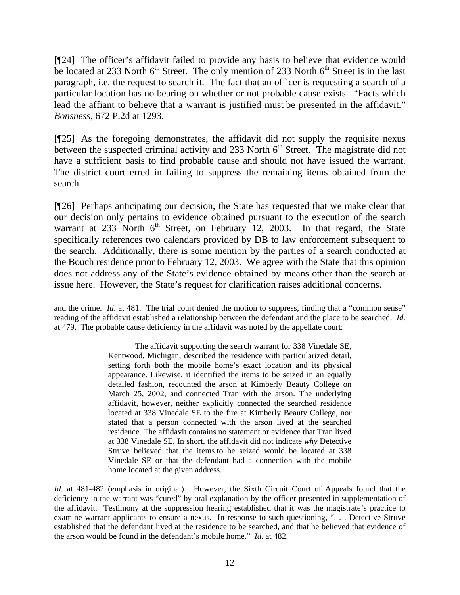[¶24] The officer's affidavit failed to provide any basis to believe that evidence would be located at 233 North  $6<sup>th</sup>$  Street. The only mention of 233 North  $6<sup>th</sup>$  Street is in the last paragraph, i.e. the request to search it. The fact that an officer is requesting a search of a particular location has no bearing on whether or not probable cause exists. "Facts which lead the affiant to believe that a warrant is justified must be presented in the affidavit." *Bonsness*, 672 P.2d at 1293.

[¶25] As the foregoing demonstrates, the affidavit did not supply the requisite nexus between the suspected criminal activity and 233 North  $6<sup>th</sup>$  Street. The magistrate did not have a sufficient basis to find probable cause and should not have issued the warrant. The district court erred in failing to suppress the remaining items obtained from the search.

[¶26] Perhaps anticipating our decision, the State has requested that we make clear that our decision only pertains to evidence obtained pursuant to the execution of the search warrant at  $233$  North  $6<sup>th</sup>$  Street, on February 12, 2003. In that regard, the State specifically references two calendars provided by DB to law enforcement subsequent to the search. Additionally, there is some mention by the parties of a search conducted at the Bouch residence prior to February 12, 2003. We agree with the State that this opinion does not address any of the State's evidence obtained by means other than the search at issue here. However, the State's request for clarification raises additional concerns.

and the crime. *Id*. at 481. The trial court denied the motion to suppress, finding that a "common sense" reading of the affidavit established a relationship between the defendant and the place to be searched. *Id.* at 479. The probable cause deficiency in the affidavit was noted by the appellate court:

 $\overline{a}$ 

The affidavit supporting the search warrant for 338 Vinedale SE, Kentwood, Michigan, described the residence with particularized detail, setting forth both the mobile home's exact location and its physical appearance. Likewise, it identified the items to be seized in an equally detailed fashion, recounted the arson at Kimberly Beauty College on March 25, 2002, and connected Tran with the arson. The underlying affidavit, however, neither explicitly connected the searched residence located at 338 Vinedale SE to the fire at Kimberly Beauty College, nor stated that a person connected with the arson lived at the searched residence. The affidavit contains no statement or evidence that Tran lived at 338 Vinedale SE. In short, the affidavit did not indicate *why* Detective Struve believed that the items to be seized would be located at 338 Vinedale SE or that the defendant had a connection with the mobile home located at the given address.

*Id.* at 481-482 (emphasis in original). However, the Sixth Circuit Court of Appeals found that the deficiency in the warrant was "cured" by oral explanation by the officer presented in supplementation of the affidavit. Testimony at the suppression hearing established that it was the magistrate's practice to examine warrant applicants to ensure a nexus. In response to such questioning, ". . . Detective Struve established that the defendant lived at the residence to be searched, and that he believed that evidence of the arson would be found in the defendant's mobile home." *Id*. at 482.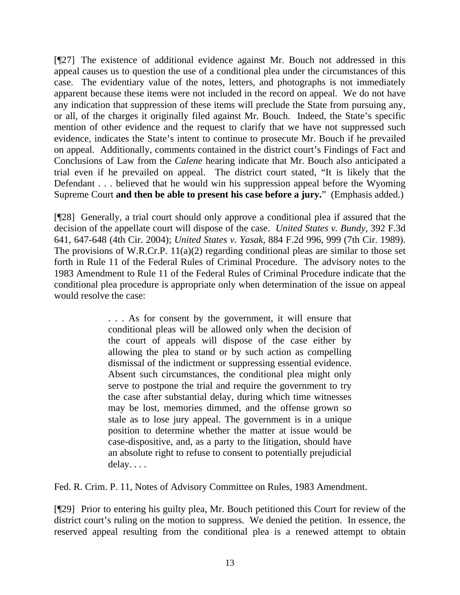[¶27] The existence of additional evidence against Mr. Bouch not addressed in this appeal causes us to question the use of a conditional plea under the circumstances of this case. The evidentiary value of the notes, letters, and photographs is not immediately apparent because these items were not included in the record on appeal. We do not have any indication that suppression of these items will preclude the State from pursuing any, or all, of the charges it originally filed against Mr. Bouch. Indeed, the State's specific mention of other evidence and the request to clarify that we have not suppressed such evidence, indicates the State's intent to continue to prosecute Mr. Bouch if he prevailed on appeal. Additionally, comments contained in the district court's Findings of Fact and Conclusions of Law from the *Calene* hearing indicate that Mr. Bouch also anticipated a trial even if he prevailed on appeal. The district court stated, "It is likely that the Defendant . . . believed that he would win his suppression appeal before the Wyoming Supreme Court **and then be able to present his case before a jury.**" (Emphasis added.)

[¶28] Generally, a trial court should only approve a conditional plea if assured that the decision of the appellate court will dispose of the case. *United States v. Bundy*, 392 F.3d 641, 647-648 (4th Cir. 2004); *United States v. Yasak*, 884 F.2d 996, 999 (7th Cir. 1989). The provisions of W.R.Cr.P. 11(a)(2) regarding conditional pleas are similar to those set forth in Rule 11 of the Federal Rules of Criminal Procedure. The advisory notes to the 1983 Amendment to Rule 11 of the Federal Rules of Criminal Procedure indicate that the conditional plea procedure is appropriate only when determination of the issue on appeal would resolve the case:

> . . . As for consent by the government, it will ensure that conditional pleas will be allowed only when the decision of the court of appeals will dispose of the case either by allowing the plea to stand or by such action as compelling dismissal of the indictment or suppressing essential evidence. Absent such circumstances, the conditional plea might only serve to postpone the trial and require the government to try the case after substantial delay, during which time witnesses may be lost, memories dimmed, and the offense grown so stale as to lose jury appeal. The government is in a unique position to determine whether the matter at issue would be case-dispositive, and, as a party to the litigation, should have an absolute right to refuse to consent to potentially prejudicial delay. . . .

Fed. R. Crim. P. 11, Notes of Advisory Committee on Rules, 1983 Amendment.

[¶29] Prior to entering his guilty plea, Mr. Bouch petitioned this Court for review of the district court's ruling on the motion to suppress. We denied the petition. In essence, the reserved appeal resulting from the conditional plea is a renewed attempt to obtain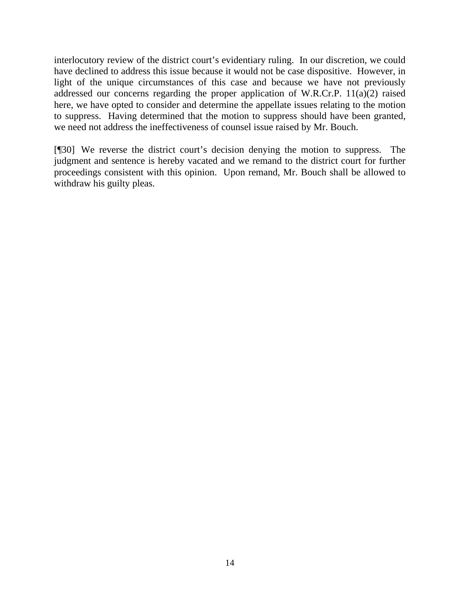interlocutory review of the district court's evidentiary ruling. In our discretion, we could have declined to address this issue because it would not be case dispositive. However, in light of the unique circumstances of this case and because we have not previously addressed our concerns regarding the proper application of W.R.Cr.P. 11(a)(2) raised here, we have opted to consider and determine the appellate issues relating to the motion to suppress. Having determined that the motion to suppress should have been granted, we need not address the ineffectiveness of counsel issue raised by Mr. Bouch.

[¶30] We reverse the district court's decision denying the motion to suppress. The judgment and sentence is hereby vacated and we remand to the district court for further proceedings consistent with this opinion. Upon remand, Mr. Bouch shall be allowed to withdraw his guilty pleas.